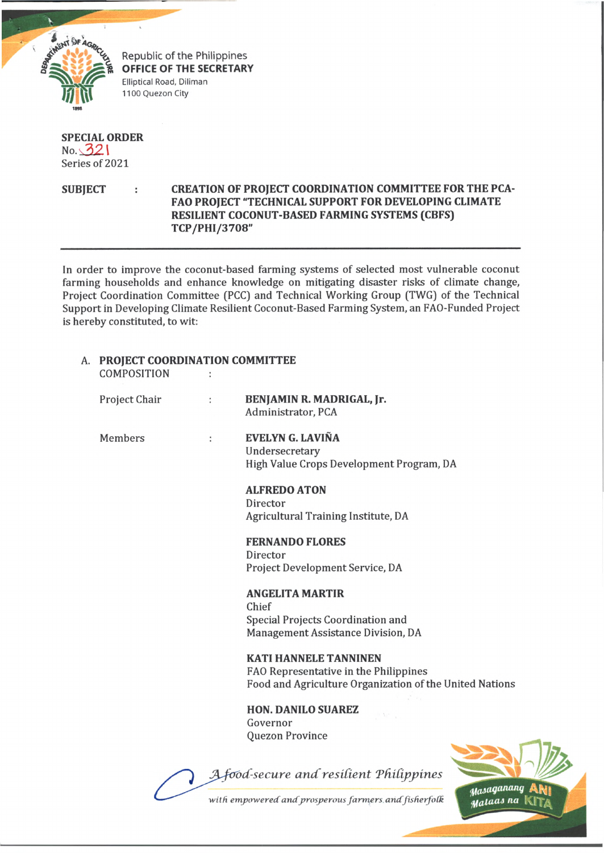

**OFFICE OF THE SECRETARY** Elliptical Road, Diliman 1100 Quezon City

# **SPECIAL ORDER**  $No. 321$ Series of 2021

# SUBJECT : CREATION OF PROJECT COORDINATION COMMITTEE FOR THE PCA-**FAO PROJECT "TECHNICAL SUPPORT FOR DEVELOPING CLIMATE RESILIENT COCONUT-BASED FARMING SYSTEMS (CBFS) TCP/PHI/3708"**

In order to improve the coconut-based farming systems of selected most vulnerable coconut farming households and enhance knowledge on mitigating disaster risks of climate change, Project Coordination Committee (PCC) and Technical Working Group (TWG) of the Technical Support in Developing Climate Resilient Coconut-Based Farming System, an FAO-Funded Project is hereby constituted, to wit:

| A. | <b>PROJECT COORDINATION COMMITTEE</b><br>COMPOSITION |          |                                                                                                                                  |
|----|------------------------------------------------------|----------|----------------------------------------------------------------------------------------------------------------------------------|
|    | Project Chair                                        | $\vdots$ | BENJAMIN R. MADRIGAL, Jr.<br>Administrator, PCA                                                                                  |
|    | <b>Members</b>                                       | ÷        | EVELYN G. LAVIÑA<br>Undersecretary<br>High Value Crops Development Program, DA                                                   |
|    |                                                      |          | <b>ALFREDO ATON</b><br>Director<br>Agricultural Training Institute, DA                                                           |
|    |                                                      |          | <b>FERNANDO FLORES</b><br>Director<br>Project Development Service, DA                                                            |
|    |                                                      |          | <b>ANGELITA MARTIR</b><br>Chief<br>Special Projects Coordination and<br>Management Assistance Division, DA                       |
|    |                                                      |          | <b>KATI HANNELE TANNINEN</b><br>FAO Representative in the Philippines<br>Food and Agriculture Organization of the United Nations |
|    |                                                      |          | <b>HON. DANILO SUAREZ</b><br>Governor<br><b>Quezon Province</b>                                                                  |
|    |                                                      |          | Afood-secure and resilient Philippines<br>Masaganang                                                                             |

with empowered and prosperous farmers and fisherfolk

Mataas na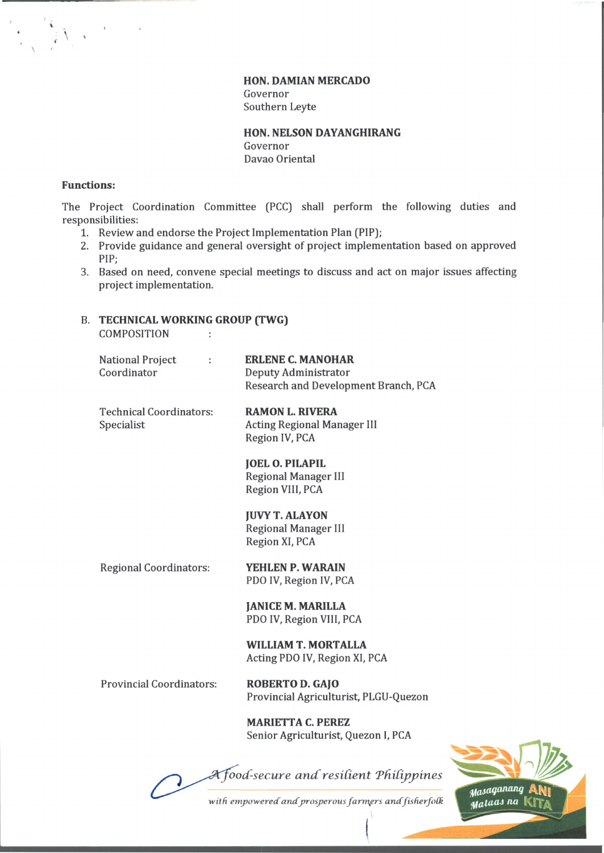**HON. DAMIAN MERCADO** Governor Southern Leyte

**HON. NELSON DAYANGHIRANG** Governor Davao Oriental

#### **Functions:**

**\**

*< \*

> The Project Coordination Committee (PCC) shall perform the following duties and responsibilities:

- 1. Review and endorse the Project Implementation Plan (PIP);
- 2. Provide guidance and general oversight of project implementation based on approved PIP;
- 3. Based on need, convene special meetings to discuss and act on major issues affecting project implementation.

# B. **TECHNICAL WORKING GROUP (TWG)**

COMPOSITION :

| <b>National Project</b><br>÷<br>Coordinator  | <b>ERLENE C. MANOHAR</b><br>Deputy Administrator<br>Research and Development Branch, PCA |
|----------------------------------------------|------------------------------------------------------------------------------------------|
| <b>Technical Coordinators:</b><br>Specialist | <b>RAMON L. RIVERA</b><br><b>Acting Regional Manager III</b><br>Region IV, PCA           |
|                                              | <b>JOEL O. PILAPIL</b><br><b>Regional Manager III</b><br>Region VIII, PCA                |
|                                              | <b>JUVY T. ALAYON</b><br><b>Regional Manager III</b><br>Region XI, PCA                   |
| <b>Regional Coordinators:</b>                | YEHLEN P. WARAIN<br>PDO IV, Region IV, PCA                                               |
|                                              | <b>JANICE M. MARILLA</b><br>PDO IV, Region VIII, PCA                                     |
|                                              | <b>WILLIAM T. MORTALLA</b><br>Acting PDO IV, Region XI, PCA                              |
| <b>Provincial Coordinators:</b>              | <b>ROBERTO D. GAJO</b><br>Provincial Agriculturist, PLGU-Quezon                          |

**MARIETTA C. PEREZ** Senior Agriculturist, Quezon I, PCA

 $A$ *food-secure and resilient Philippines* 



with empowered and prosperous farmers and fisherfolk